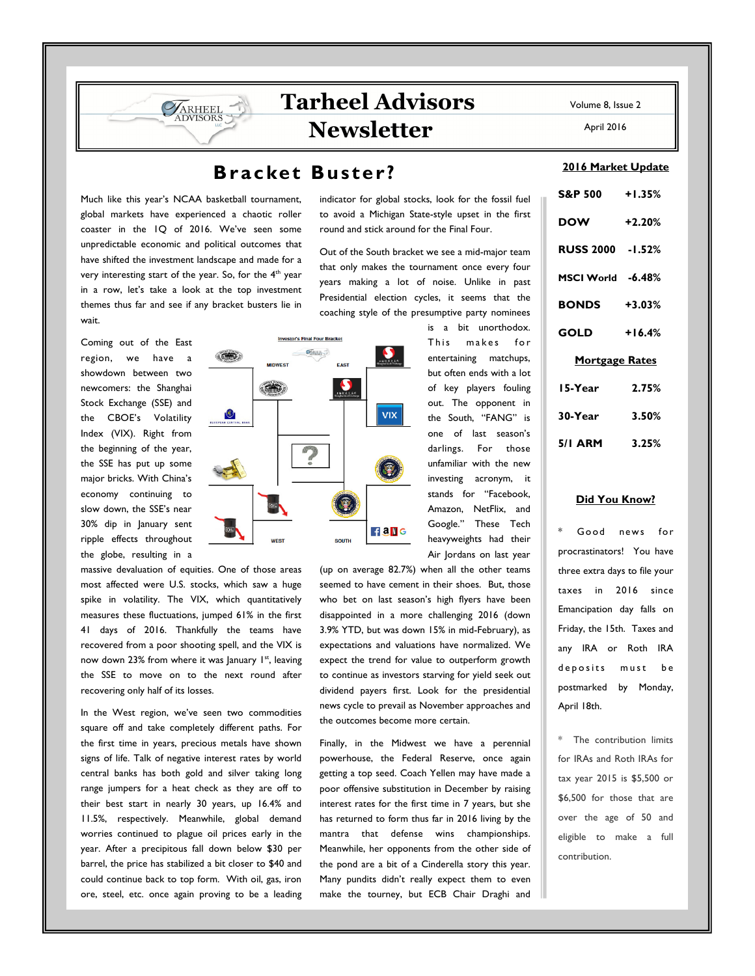# **Tarheel Advisors Newsletter**

## **Bracket Buster?**

Much like this year's NCAA basketball tournament, global markets have experienced a chaotic roller coaster in the 1Q of 2016. We've seen some unpredictable economic and political outcomes that have shifted the investment landscape and made for a very interesting start of the year. So, for the 4<sup>th</sup> year in a row, let's take a look at the top investment themes thus far and see if any bracket busters lie in wait.

ARHEEL **IDVISORS** 

Coming out of the East region, we have a showdown between two newcomers: the Shanghai Stock Exchange (SSE) and the CBOE's Volatility Index (VIX). Right from the beginning of the year, the SSE has put up some major bricks. With China's economy continuing to slow down, the SSE's near 30% dip in January sent ripple effects throughout the globe, resulting in a

massive devaluation of equities. One of those areas most affected were U.S. stocks, which saw a huge spike in volatility. The VIX, which quantitatively measures these fluctuations, jumped 61% in the first 41 days of 2016. Thankfully the teams have recovered from a poor shooting spell, and the VIX is now down 23% from where it was January  $1<sup>st</sup>$ , leaving the SSE to move on to the next round after recovering only half of its losses.

In the West region, we've seen two commodities square off and take completely different paths. For the first time in years, precious metals have shown signs of life. Talk of negative interest rates by world central banks has both gold and silver taking long range jumpers for a heat check as they are off to their best start in nearly 30 years, up 16.4% and 11.5%, respectively. Meanwhile, global demand worries continued to plague oil prices early in the year. After a precipitous fall down below \$30 per barrel, the price has stabilized a bit closer to \$40 and could continue back to top form. With oil, gas, iron ore, steel, etc. once again proving to be a leading

indicator for global stocks, look for the fossil fuel to avoid a Michigan State-style upset in the first round and stick around for the Final Four.

Out of the South bracket we see a mid-major team that only makes the tournament once every four years making a lot of noise. Unlike in past Presidential election cycles, it seems that the coaching style of the presumptive party nominees



This makes for entertaining matchups, but often ends with a lot of key players fouling out. The opponent in the South, "FANG" is one of last season's darlings. For those unfamiliar with the new investing acronym, it stands for "Facebook, Amazon, NetFlix, and Google." These Tech heavyweights had their Air Jordans on last year

is a bit unorthodox.

(up on average 82.7%) when all the other teams seemed to have cement in their shoes. But, those who bet on last season's high flyers have been disappointed in a more challenging 2016 (down 3.9% YTD, but was down 15% in mid-February), as expectations and valuations have normalized. We expect the trend for value to outperform growth to continue as investors starving for yield seek out dividend payers first. Look for the presidential news cycle to prevail as November approaches and the outcomes become more certain.

Finally, in the Midwest we have a perennial powerhouse, the Federal Reserve, once again getting a top seed. Coach Yellen may have made a poor offensive substitution in December by raising interest rates for the first time in 7 years, but she has returned to form thus far in 2016 living by the mantra that defense wins championships. Meanwhile, her opponents from the other side of the pond are a bit of a Cinderella story this year. Many pundits didn't really expect them to even make the tourney, but ECB Chair Draghi and

Volume 8, Issue 2

April 2016

### **2016 Market Update**

| S&P 500 +1.35%        |          |
|-----------------------|----------|
| <b>DOW</b>            | $+2.20%$ |
| RUSS 2000 -1.52%      |          |
| MSCI World -6.48%     |          |
| <b>BONDS</b> +3.03%   |          |
| <b>GOLD</b>           | $+16.4%$ |
| <u>Mortgage Rates</u> |          |
| 15-Year               | 2.75%    |
| 30-Year 3.50%         |          |
| 5/1 ARM 3.25%         |          |

#### **Did You Know?**

Good news for procrastinators! You have three extra days to file your taxes in 2016 since Emancipation day falls on Friday, the 15th. Taxes and any IRA or Roth IRA deposits must be postmarked by Monday, April 18th.

The contribution limits for IRAs and Roth IRAs for tax year 2015 is \$5,500 or \$6,500 for those that are over the age of 50 and eligible to make a full contribution.